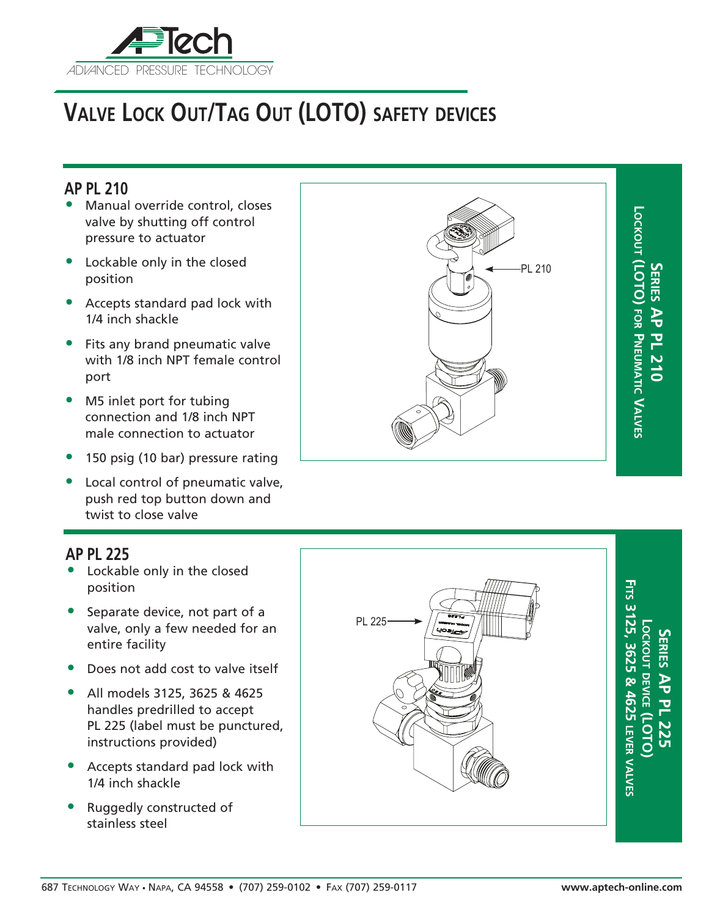

# **Valve Lock Out/Tag Out (LOTO) safety devices**

### **AP PL 210**

- Manual override control, closes valve by shutting off control pressure to actuator
- Lockable only in the closed position
- Accepts standard pad lock with 1/4 inch shackle
- Fits any brand pneumatic valve with 1/8 inch NPT female control port
- M5 inlet port for tubing connection and 1/8 inch NPT male connection to actuator
- 150 psig (10 bar) pressure rating
- Local control of pneumatic valve, push red top button down and twist to close valve

#### **AP PL 225**

- Lockable only in the closed position
- Separate device, not part of a valve, only a few needed for an entire facility
- Does not add cost to valve itself
- All models 3125, 3625 & 4625 handles predrilled to accept PL 225 (label must be punctured, instructions provided)
- Accepts standard pad lock with 1/4 inch shackle
- Ruggedly constructed of stainless steel





**Series AP P L 225 Lockout de vice (LOTO) Fits 3125, 3625 & 4625 le** く<br>一つ **val ves**